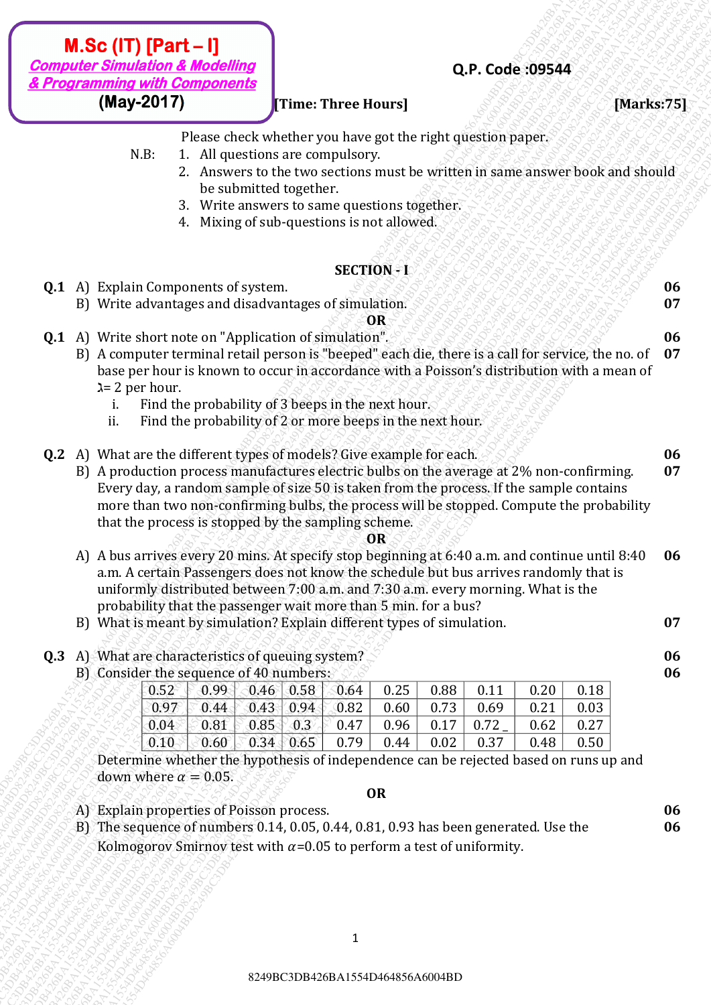### **[Time: Three Hours] [Marks:75]**

Please check whether you have got the right question paper.

- N.B: 1. All questions are compulsory.
	- 2. Answers to the two sections must be written in same answer book and should be submitted together.

**Q.P. Code :09544**

- 3. Write answers to same questions together.
- 4. Mixing of sub-questions is not allowed.

### **SECTION - I**

- **Q.1** A) Explain Components of system. And the second of  $S$  is the second of  $S$  is the second of  $S$  is the second of  $S$ 
	- B) Write advantages and disadvantages of simulation.

**OR**

**07**

**06**

**06**

**Q.1** A) Write short note on "Application of simulation".  $8.888888888888888$ 

- B) A computer terminal retail person is "beeped" each die, there is a call for service, the no. of base per hour is known to occur in accordance with a Poisson's distribution with a mean of  $\lambda$ = 2 per hour.<br>i. Find th **07**
	- Find the probability of 3 beeps in the next hour.
	- ii. Find the probability of 2 or more beeps in the next hour.
- **Q.2** A) What are the different types of models? Give example for each. **06**
- **ALSO (IT) Part 1)**<br> **BALF 20249**<br> **Examples 20249**<br> **Examples 20249**<br> **Examples 20249**<br> **Examples 20249**<br> **Examples 20249**<br> **Examples 20249**<br> **Examples 20249**<br> **Examples 20249**<br> **Examples 20249**<br> **Examples 20249**<br> **Exa M. Sc (117) Pearl three line of the control in the control in the control in the control in the control in the control in the control in the control in the control in the control in the control in the control in the cont M. Sc (IT) [Part – I]**<br> **CP/20249**<br> **CP/20249**<br> **CP/20249**<br> **CREATION**<br> **REATE CREATION ATTENTIFIES TO THE CHARGE TOWART (NET THE CHAPT CREATION CONTINUES).<br>
THE 1. A dispersion are computed to generation the extent of t M.Sc (IT) [Part -1]**<br> *Brogramming with Components*<br> **(May-2017) E** First their destruction critical function<br>
(May-2017) **E** First the destruction properties of the straight question properties<br>  $\frac{1}{4}$  **LA diversio** 8249BC3DB426BA1554D464856A6004BD8249BC3DB426BA1554D464856A6004BD8249BC3DB426BA1554D464856A6004BD8249BC3DB426BA1554D464856A6004BD8249BC3DB426BA1554D464856A6004BD8249BC3DB426BA1554D464856A6004BD 8249BC3DB426BA1554D464856A6004BD8249BC3DB426BA1554D464856A6004BD8249BC3DB426BA1554D464856A6004BD8249BC3DB426BA1554D464856A6004BD8249BC3DB426BA1554D464856A6004BD8249BC3DB426BA1554D464856A6004BD **84.5 6 (FT) [Part -1]**<br> **8.49 Content also developed and the symbol street House and the register and the symbol street and the symbol street and the symbol street and the symbol street and the symbol street and the symb 8454 C11 (Part - B)**<br> **8249 Connection de Moscolling C11**<br> **8249 C111**<br> **8249 C111**<br> **8449-2017)**<br> **8444** Private change of the control numerical term of the most of the state and the volticin of state and state and stat **8454 C11 (Part - B)**<br> **8249 Connection de Moscolling C11**<br> **8249 C111**<br> **8249 C111**<br> **8449-2017)**<br> **8444** Private change of the control numerical term of the most of the state and the volticin of state and state and stat **8454 C11 (Part - B)**<br> **8249 Connection de Moscolling C11**<br> **8249 C111**<br> **8249 C111**<br> **8449-2017)**<br> **8444** Private change of the control numerical term of the most of the state and the volticin of state and state and stat **8454 C11 (Part - B)**<br> **8249 Connection de Moscolling C11**<br> **8249 C111**<br> **8249 C111**<br> **8449-2017)**<br> **8444** Private change of the control numerical term of the most of the state and the volticin of state and state and stat **84846 CF (Figure 4.1)**<br> **8249 CF (Figure 2017)**<br> **8249 CF (Figure 2017)**<br> **8249 CF (Figure 2018) Prime:** Three: Three: There: There: There is a consistent of the signal optimization and the solution properties of the r **824 A61 Content and Conserverse Conserverse Conserverse Conserverse Conserverse Conserverse Conserverse Conserverse Conserverse Conserverse Conserverse Conserverse Conserverse Conserverse Conserverse Conserverse Conser 84.5 CCIT) (Part 1.41)**<br> **Example with Components**<br> **Example with Components**<br> **Example with Components**<br> **Example 10:**<br> **Example 2017)**<br> **Example 2017**<br> **Example 2017**<br> **Example 2017**<br> **Example 2018**<br> **Example 2018**<br> **E 82448 Accord 19 (Part - U)**<br> **8249 CMAS 26 African distribution** the more particle in right applies to the system of the right application paper.<br>
R.B. L. Ad provident accord to the system of region the right application 8249BC3DB426BA1554D464856A6004BD8249BC3DB426BA1554D464856A6004BD8249BC3DB426BA1554D464856A6004BD8249BC3DB426BA1554D464856A6004BD8249BC3DB426BA1554D464856A6004BD8249BC3DB426BA1554D464856A6004BD **82454 CF (Francis Depart - F)**<br> **Computer Symmulation & Mechanisms**<br> **CHAPSEARS**<br> **CHAPFEARS**<br> **CHAPFEARS**<br> **CHAPFEARS**<br> **CHAPFEARS**<br> **CHAPFEARS**<br> **CHAPFEARS**<br> **CHAPFEARS**<br> **CHAPFEARS**<br> **CHAPFEARS**<br> **CHAPFEARS**<br> **CHAPFEA 824 Compact - By the Section of the Section 14 and Section 14 and Section 14 and Section 14 and Section 14 and Section 14 and Section 14 and Section 14 and Section 14 and Section 14 and Section 14 and Section 14 and Sect 824 CFT (Fract - 1)**<br> **Computer Simulation 4 Modelinity (These Three Hours)**<br>
1948-2017)<br>
24 Fore consider when you have got the right question paper.<br>
24 Fore consider when you have got the right question paper.<br>
24 For **ALSc (IT) [Part - I]**<br> **Connecter simulations & Modellings**<br> **CALC Connecter Street Hotel, we also streambles and the street Hotel we also the right question paper.<br>
2. However to the connecter of the connection must b** B) A production process manufactures electric bulbs on the average at 2% non-confirming. Every day, a random sample of size 50 is taken from the process. If the sample contains more than two non-confirming bulbs, the process will be stopped. Compute the probability that the process is stopped by the sampling scheme. **07**

#### **OR**

- A) A bus arrives every 20 mins. At specify stop beginning at 6:40 a.m. and continue until 8:40 a.m. A certain Passengers does not know the schedule but bus arrives randomly that is uniformly distributed between 7:00 a.m. and 7:30 a.m. every morning. What is the probability that the passenger wait more than 5 min. for a bus? **06**
- B) What is meant by simulation? Explain different types of simulation. **07**
- **Q.3** A) What are characteristics of queuing system? **06**
	- B) Consider the sequence of 40 numbers:

|                | $\mathbf{v}$ . Lie bounding of to main of $\mathbf{v}$ |                   |                      |                |      |      |      |      |
|----------------|--------------------------------------------------------|-------------------|----------------------|----------------|------|------|------|------|
|                |                                                        |                   |                      | 0.25           | 0.88 | 0.11 | 0.20 | 0.18 |
| $\bigcup$ 0.97 | $0.44$ 0.43 0.94 0.82                                  |                   |                      | $0.60$   $\mu$ | 0.73 | 0.69 | 0.21 | 0.03 |
| $\bigcup$ 0.04 |                                                        |                   | $0.81$ 0.85 0.3 0.47 | 0.96           | 0.17 | 0.72 | 0.62 | 0.27 |
| $\boxed{0.10}$ | 0.60                                                   | $0.34 \cdot 0.65$ | 0.79                 | 0.44           | 0.02 | 0.37 | 0.48 | 0.50 |

Determine whether the hypothesis of independence can be rejected based on runs up and down where  $\alpha = 0.05$ .

### **OR**

- A) Explain properties of Poisson process. **06**
- B) The sequence of numbers 0.14, 0.05, 0.44, 0.81, 0.93 has been generated. Use the Kolmogorov Smirnov test with  $\alpha$ =0.05 to perform a test of uniformity.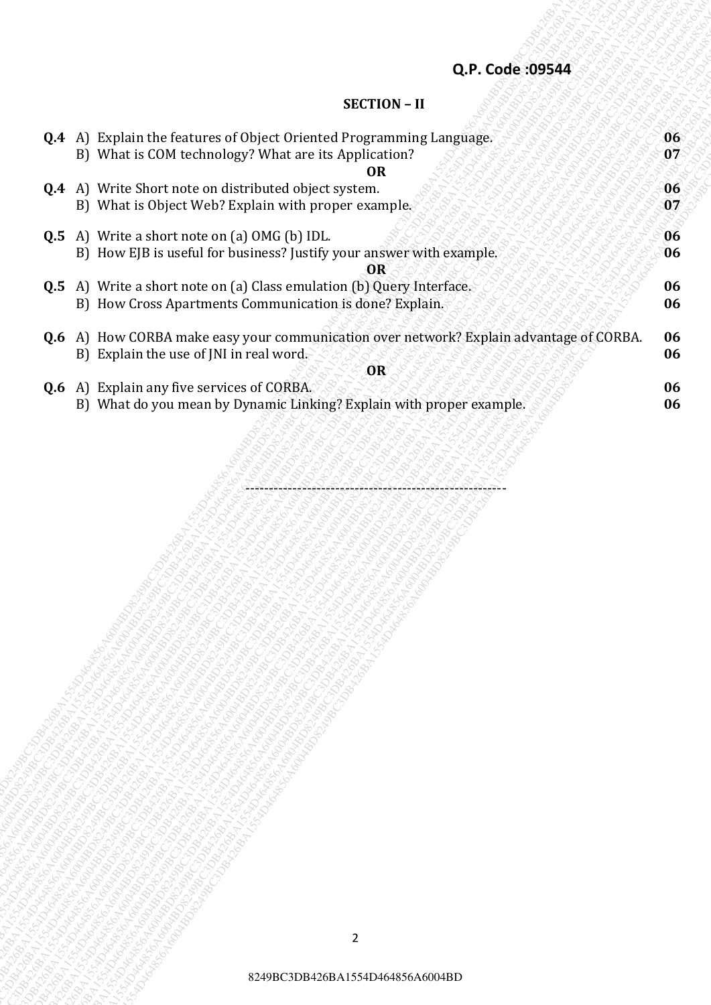## **SECTION – II**

|                                                                                                                                                                                                                                 | Q.P. Code:09544                                                                                                                                                                                                                                                                                                                                                                                                                                                                                                                                                                                                                                                                                                                                                                                                                                                                |          |
|---------------------------------------------------------------------------------------------------------------------------------------------------------------------------------------------------------------------------------|--------------------------------------------------------------------------------------------------------------------------------------------------------------------------------------------------------------------------------------------------------------------------------------------------------------------------------------------------------------------------------------------------------------------------------------------------------------------------------------------------------------------------------------------------------------------------------------------------------------------------------------------------------------------------------------------------------------------------------------------------------------------------------------------------------------------------------------------------------------------------------|----------|
|                                                                                                                                                                                                                                 | <b>SECTION - II</b>                                                                                                                                                                                                                                                                                                                                                                                                                                                                                                                                                                                                                                                                                                                                                                                                                                                            |          |
|                                                                                                                                                                                                                                 | Q.4 A) Explain the features of Object Oriented Programming Language.<br>B) What is COM technology? What are its Application?                                                                                                                                                                                                                                                                                                                                                                                                                                                                                                                                                                                                                                                                                                                                                   | 06<br>07 |
|                                                                                                                                                                                                                                 | <b>OR</b><br>Q.4 A) Write Short note on distributed object system.<br>B) What is Object Web? Explain with proper example.                                                                                                                                                                                                                                                                                                                                                                                                                                                                                                                                                                                                                                                                                                                                                      | 06<br>07 |
|                                                                                                                                                                                                                                 | <b>Q.5</b> A) Write a short note on (a) OMG (b) IDL.<br>B) How EJB is useful for business? Justify your answer with example.                                                                                                                                                                                                                                                                                                                                                                                                                                                                                                                                                                                                                                                                                                                                                   | 06<br>06 |
|                                                                                                                                                                                                                                 | OR<br><b>Q.5</b> A) Write a short note on (a) Class emulation (b) Query Interface.<br>B) How Cross Apartments Communication is done? Explain.                                                                                                                                                                                                                                                                                                                                                                                                                                                                                                                                                                                                                                                                                                                                  | 06<br>06 |
|                                                                                                                                                                                                                                 | Q.6 A) How CORBA make easy your communication over network? Explain advantage of CORBA.<br>B) Explain the use of JNI in real word.                                                                                                                                                                                                                                                                                                                                                                                                                                                                                                                                                                                                                                                                                                                                             | 06<br>06 |
|                                                                                                                                                                                                                                 | OR<br><b>Q.6</b> A) Explain any five services of CORBA.<br>B) What do you mean by Dynamic Linking? Explain with proper example.                                                                                                                                                                                                                                                                                                                                                                                                                                                                                                                                                                                                                                                                                                                                                | 06<br>06 |
| <b>MARICAN HIS</b><br>220AC<br>Davison C<br>220AC<br>2488C<br>228AC<br>228AC<br><b>Parkbo</b> ck<br><b>HOOD MADES</b><br><b>UST DOOMS DOOMS</b><br><b>SS-SORD MADES</b><br><b>Dr. Britishing British</b><br><b>UST DOMESTIC</b> | Rockhanger Reserves and the reserves of the control of the control of the control of the control of the control of the control of the control of the control of the control of the control of the control of the control of th<br>A HARMAN ROCK CONTROL AND MANUSCRAP ROBBAT AND RESEARCH AND RESEARCH AND RESEARCH AND RESEARCH AND RESEARCH AND RESEARCH AND RESEARCH AND RESEARCH AND RESEARCH AND RESEARCH AND RESEARCH AND RESEARCH AND RESEARCH AND RESEAR<br>A Sunday Report of the Control of Control of Control of Control of Control of Control of Control of Control of Control of Control of Control of Control of Control of Control of Control of Control of Control of Control of C<br>Capacha R<br><b>DRAB</b> C<br><b>DRAB</b> C<br>12880<br><b>Strongwater</b><br><b>SS-GOODWARDS</b><br><b>ST-GOODWARDS</b><br><b>SS-SOR BASICS</b><br><b>SS-SORD MADES</b> |          |
|                                                                                                                                                                                                                                 | <b>ST-GOODWARD</b><br><b>SS-SOR BARACAS</b><br><b>SST DOOMS DOOR</b>                                                                                                                                                                                                                                                                                                                                                                                                                                                                                                                                                                                                                                                                                                                                                                                                           |          |
|                                                                                                                                                                                                                                 |                                                                                                                                                                                                                                                                                                                                                                                                                                                                                                                                                                                                                                                                                                                                                                                                                                                                                |          |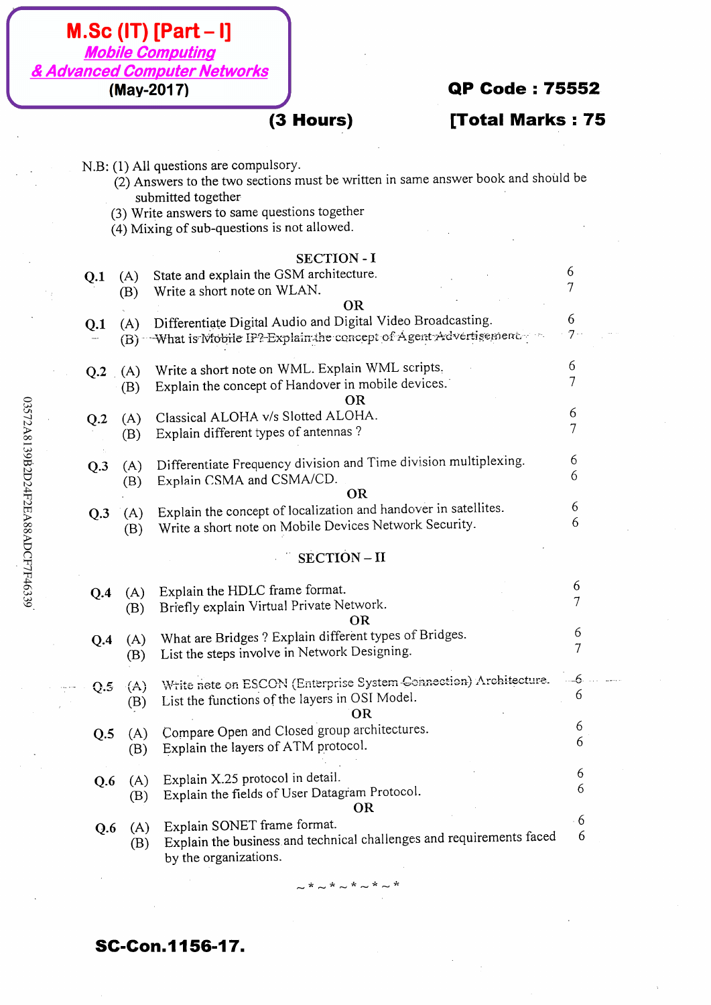| $(3$ Hours)<br>[Total Marks: 75<br>N.B: (1) All questions are compulsory.<br>(2) Answers to the two sections must be written in same answer book and should be<br>submitted together<br>(3) Write answers to same questions together<br>(4) Mixing of sub-questions is not allowed.<br><b>SECTION - I</b><br>6<br>State and explain the GSM architecture.<br>Q.1<br>(A)<br>Write a short note on WLAN.<br>(B)<br><b>OR</b><br>6<br>Differentiate Digital Audio and Digital Video Broadcasting.<br>(A)<br>Q.1<br>7<br>What is Mobile IP? Explain the concept of Agent Advertisement.<br>(B)<br>6<br>Write a short note on WML. Explain WML scripts,<br>Q.2(A)<br>Explain the concept of Handover in mobile devices.<br>(B)<br><b>OR</b><br>6<br>Classical ALOHA v/s Slotted ALOHA.<br>(A)<br>Q.2<br>7<br>Explain different types of antennas ?<br>(B)<br>6<br>Differentiate Frequency division and Time division multiplexing.<br>Q.3<br>(A)<br>6<br>Explain CSMA and CSMA/CD.<br>(B)<br><b>OR</b><br>6<br>Explain the concept of localization and handover in satellites.<br>(A)<br>Q.3<br>6<br>Write a short note on Mobile Devices Network Security.<br>(B)<br>$SECTION - II$<br>6<br>Explain the HDLC frame format.<br>(A)<br>Q.4<br>$\overline{7}$<br>Briefly explain Virtual Private Network.<br>(B)<br><b>OR</b><br>6<br>What are Bridges? Explain different types of Bridges.<br>(A)<br>Q.4<br>7<br>List the steps involve in Network Designing.<br>(B)<br>Write nete on ESCON (Enterprise System Connection) Architecture.<br>--6<br>(A)<br>Q.5<br>6<br>List the functions of the layers in OSI Model.<br>(B)<br><b>OR</b><br>6<br>Compare Open and Closed group architectures.<br>(A)<br>Q.5<br>6<br>Explain the layers of ATM protocol.<br>(B)<br>6<br>Explain X.25 protocol in detail.<br>(A)<br>Q.6<br>6<br>Explain the fields of User Datagram Protocol.<br>(B)<br><b>OR</b><br>6<br>Explain SONET frame format.<br>(A)<br>Q.6<br>6<br>Explain the business and technical challenges and requirements faced<br>(B)<br>by the organizations. |  | (May-2017) | <b>QP Code: 75552</b> |  |
|----------------------------------------------------------------------------------------------------------------------------------------------------------------------------------------------------------------------------------------------------------------------------------------------------------------------------------------------------------------------------------------------------------------------------------------------------------------------------------------------------------------------------------------------------------------------------------------------------------------------------------------------------------------------------------------------------------------------------------------------------------------------------------------------------------------------------------------------------------------------------------------------------------------------------------------------------------------------------------------------------------------------------------------------------------------------------------------------------------------------------------------------------------------------------------------------------------------------------------------------------------------------------------------------------------------------------------------------------------------------------------------------------------------------------------------------------------------------------------------------------------------------------------------------------------------------------------------------------------------------------------------------------------------------------------------------------------------------------------------------------------------------------------------------------------------------------------------------------------------------------------------------------------------------------------------------------------------------------------------------------------------------------------------------------------|--|------------|-----------------------|--|
|                                                                                                                                                                                                                                                                                                                                                                                                                                                                                                                                                                                                                                                                                                                                                                                                                                                                                                                                                                                                                                                                                                                                                                                                                                                                                                                                                                                                                                                                                                                                                                                                                                                                                                                                                                                                                                                                                                                                                                                                                                                          |  |            |                       |  |
|                                                                                                                                                                                                                                                                                                                                                                                                                                                                                                                                                                                                                                                                                                                                                                                                                                                                                                                                                                                                                                                                                                                                                                                                                                                                                                                                                                                                                                                                                                                                                                                                                                                                                                                                                                                                                                                                                                                                                                                                                                                          |  |            |                       |  |
|                                                                                                                                                                                                                                                                                                                                                                                                                                                                                                                                                                                                                                                                                                                                                                                                                                                                                                                                                                                                                                                                                                                                                                                                                                                                                                                                                                                                                                                                                                                                                                                                                                                                                                                                                                                                                                                                                                                                                                                                                                                          |  |            |                       |  |
|                                                                                                                                                                                                                                                                                                                                                                                                                                                                                                                                                                                                                                                                                                                                                                                                                                                                                                                                                                                                                                                                                                                                                                                                                                                                                                                                                                                                                                                                                                                                                                                                                                                                                                                                                                                                                                                                                                                                                                                                                                                          |  |            |                       |  |
|                                                                                                                                                                                                                                                                                                                                                                                                                                                                                                                                                                                                                                                                                                                                                                                                                                                                                                                                                                                                                                                                                                                                                                                                                                                                                                                                                                                                                                                                                                                                                                                                                                                                                                                                                                                                                                                                                                                                                                                                                                                          |  |            |                       |  |
|                                                                                                                                                                                                                                                                                                                                                                                                                                                                                                                                                                                                                                                                                                                                                                                                                                                                                                                                                                                                                                                                                                                                                                                                                                                                                                                                                                                                                                                                                                                                                                                                                                                                                                                                                                                                                                                                                                                                                                                                                                                          |  |            |                       |  |
|                                                                                                                                                                                                                                                                                                                                                                                                                                                                                                                                                                                                                                                                                                                                                                                                                                                                                                                                                                                                                                                                                                                                                                                                                                                                                                                                                                                                                                                                                                                                                                                                                                                                                                                                                                                                                                                                                                                                                                                                                                                          |  |            |                       |  |
|                                                                                                                                                                                                                                                                                                                                                                                                                                                                                                                                                                                                                                                                                                                                                                                                                                                                                                                                                                                                                                                                                                                                                                                                                                                                                                                                                                                                                                                                                                                                                                                                                                                                                                                                                                                                                                                                                                                                                                                                                                                          |  |            |                       |  |
|                                                                                                                                                                                                                                                                                                                                                                                                                                                                                                                                                                                                                                                                                                                                                                                                                                                                                                                                                                                                                                                                                                                                                                                                                                                                                                                                                                                                                                                                                                                                                                                                                                                                                                                                                                                                                                                                                                                                                                                                                                                          |  |            |                       |  |
|                                                                                                                                                                                                                                                                                                                                                                                                                                                                                                                                                                                                                                                                                                                                                                                                                                                                                                                                                                                                                                                                                                                                                                                                                                                                                                                                                                                                                                                                                                                                                                                                                                                                                                                                                                                                                                                                                                                                                                                                                                                          |  |            |                       |  |
|                                                                                                                                                                                                                                                                                                                                                                                                                                                                                                                                                                                                                                                                                                                                                                                                                                                                                                                                                                                                                                                                                                                                                                                                                                                                                                                                                                                                                                                                                                                                                                                                                                                                                                                                                                                                                                                                                                                                                                                                                                                          |  |            |                       |  |
|                                                                                                                                                                                                                                                                                                                                                                                                                                                                                                                                                                                                                                                                                                                                                                                                                                                                                                                                                                                                                                                                                                                                                                                                                                                                                                                                                                                                                                                                                                                                                                                                                                                                                                                                                                                                                                                                                                                                                                                                                                                          |  |            |                       |  |
|                                                                                                                                                                                                                                                                                                                                                                                                                                                                                                                                                                                                                                                                                                                                                                                                                                                                                                                                                                                                                                                                                                                                                                                                                                                                                                                                                                                                                                                                                                                                                                                                                                                                                                                                                                                                                                                                                                                                                                                                                                                          |  |            |                       |  |
|                                                                                                                                                                                                                                                                                                                                                                                                                                                                                                                                                                                                                                                                                                                                                                                                                                                                                                                                                                                                                                                                                                                                                                                                                                                                                                                                                                                                                                                                                                                                                                                                                                                                                                                                                                                                                                                                                                                                                                                                                                                          |  |            |                       |  |
|                                                                                                                                                                                                                                                                                                                                                                                                                                                                                                                                                                                                                                                                                                                                                                                                                                                                                                                                                                                                                                                                                                                                                                                                                                                                                                                                                                                                                                                                                                                                                                                                                                                                                                                                                                                                                                                                                                                                                                                                                                                          |  |            |                       |  |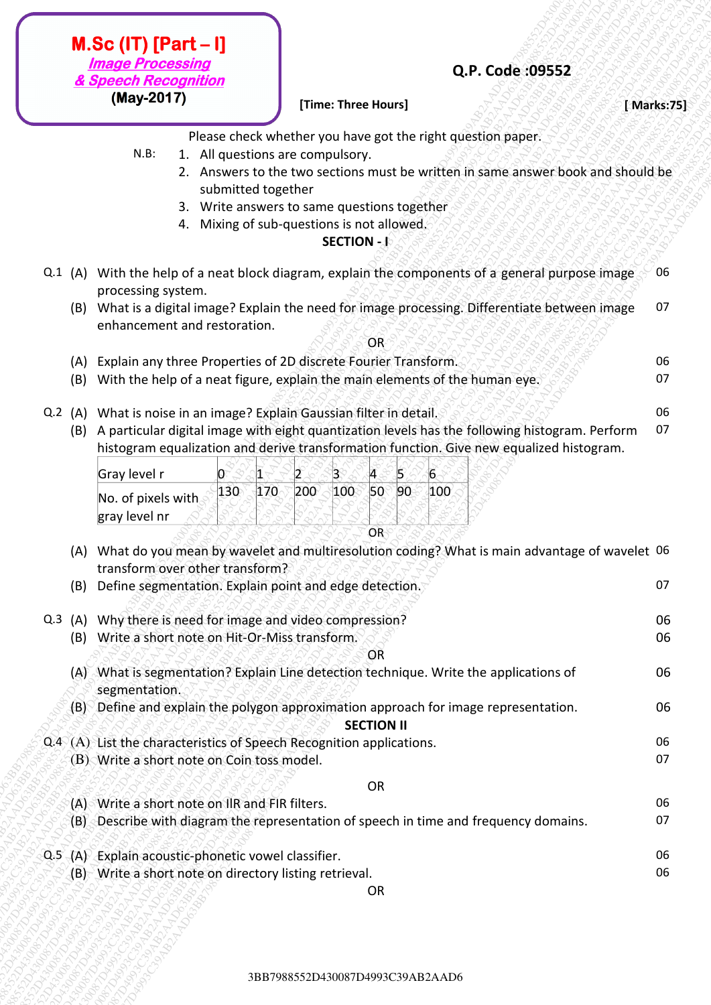- N.B: 1. All questions are compulsory.
	- 2. Answers to the two sections must be written in same answer book and should be submitted together
	- 3. Write answers to same questions together
	- 4. Mixing of sub-questions is not allowed.

### **SECTION - I**

- Q.1 (A) With the help of a neat block diagram, explain the components of a general purpose image processing system. 06
	- (B) What is a digital image? Explain the need for image processing. Differentiate between image enhancement and restoration. 07

- **(A)** Explain any three Properties of 2D discrete Fourier Transform.  $\sqrt{2\pi}$
- (B) With the help of a neat figure, explain the main elements of the human eye.  $\circ$
- **Q.2** (A) What is noise in an image? Explain Gaussian filter in detail. Neverther the cost of the cost of the cos
	- (B) A particular digital image with eight quantization levels has the following histogram. Perform histogram equalization and derive transformation function. Give new equalized histogram. 07

| Gray level r       |     |  | B             |  |  |
|--------------------|-----|--|---------------|--|--|
| No. of pixels with | 130 |  | $100^{\circ}$ |  |  |
| gray level nr      |     |  |               |  |  |
|                    |     |  |               |  |  |

| (May-2017)<br>[Time: Three Hours]<br>Please check whether you have got the right question paper.<br>1. All questions are compulsory.<br>$N.B$ :<br>2. Answers to the two sections must be written in same answer book and should be                                                                                                                                                                       | [ Marks:75] |
|-----------------------------------------------------------------------------------------------------------------------------------------------------------------------------------------------------------------------------------------------------------------------------------------------------------------------------------------------------------------------------------------------------------|-------------|
|                                                                                                                                                                                                                                                                                                                                                                                                           |             |
| submitted together<br>3. Write answers to same questions together                                                                                                                                                                                                                                                                                                                                         |             |
| 4. Mixing of sub-questions is not allowed.<br>SECTION - <b>R</b>                                                                                                                                                                                                                                                                                                                                          |             |
| Q.1 (A) With the help of a neat block diagram, explain the components of a general purpose image<br>processing system.                                                                                                                                                                                                                                                                                    | 06          |
| (B) What is a digital image? Explain the need for image processing. Differentiate between image<br>enhancement and restoration.<br>OR                                                                                                                                                                                                                                                                     | 07          |
| Explain any three Properties of 2D discrete Fourier Transform.<br>(A)                                                                                                                                                                                                                                                                                                                                     | 06          |
| With the help of a neat figure, explain the main elements of the human eye.<br>(B)                                                                                                                                                                                                                                                                                                                        | 07          |
| What is noise in an image? Explain Gaussian filter in detail.<br>$Q.2$ (A)<br>A particular digital image with eight quantization levels has the following histogram. Perform<br>(B)<br>histogram equalization and derive transformation function. Give new equalized histogram.<br>Gray level r<br>6<br>100<br>170<br>200<br>100<br>130<br>$50^\circ$<br>90<br>No. of pixels with<br>gray level nr<br>OR- | 06<br>07    |
| What do you mean by wavelet and multiresolution coding? What is main advantage of wavelet 06<br>(A)<br>transform over other transform?                                                                                                                                                                                                                                                                    |             |
| Define segmentation. Explain point and edge detection.<br>(B)                                                                                                                                                                                                                                                                                                                                             | 07          |
| Why there is need for image and video compression?<br>Q.3 (A)                                                                                                                                                                                                                                                                                                                                             | 06          |
| Write a short note on Hit-Or-Miss transform.<br>(B)<br>OR                                                                                                                                                                                                                                                                                                                                                 | 06          |
| (A) What is segmentation? Explain Line detection technique. Write the applications of<br>segmentation.                                                                                                                                                                                                                                                                                                    | 06          |
| Define and explain the polygon approximation approach for image representation.<br>(B)∖<br><b>SECTION II</b>                                                                                                                                                                                                                                                                                              | 06          |
| Q.4 (A) List the characteristics of Speech Recognition applications.                                                                                                                                                                                                                                                                                                                                      | 06<br>07    |
| (B) Write a short note on Coin toss model.                                                                                                                                                                                                                                                                                                                                                                |             |
| OR<br>(A) Write a short note on IIR and FIR filters.                                                                                                                                                                                                                                                                                                                                                      | 06          |
| (B) Describe with diagram the representation of speech in time and frequency domains.                                                                                                                                                                                                                                                                                                                     | 07          |
| Explain acoustic-phonetic vowel classifier.<br>$Q.5 - (A)$                                                                                                                                                                                                                                                                                                                                                | 06          |
| (B) Write a short note on directory listing retrieval.<br><b>OR</b>                                                                                                                                                                                                                                                                                                                                       | 06          |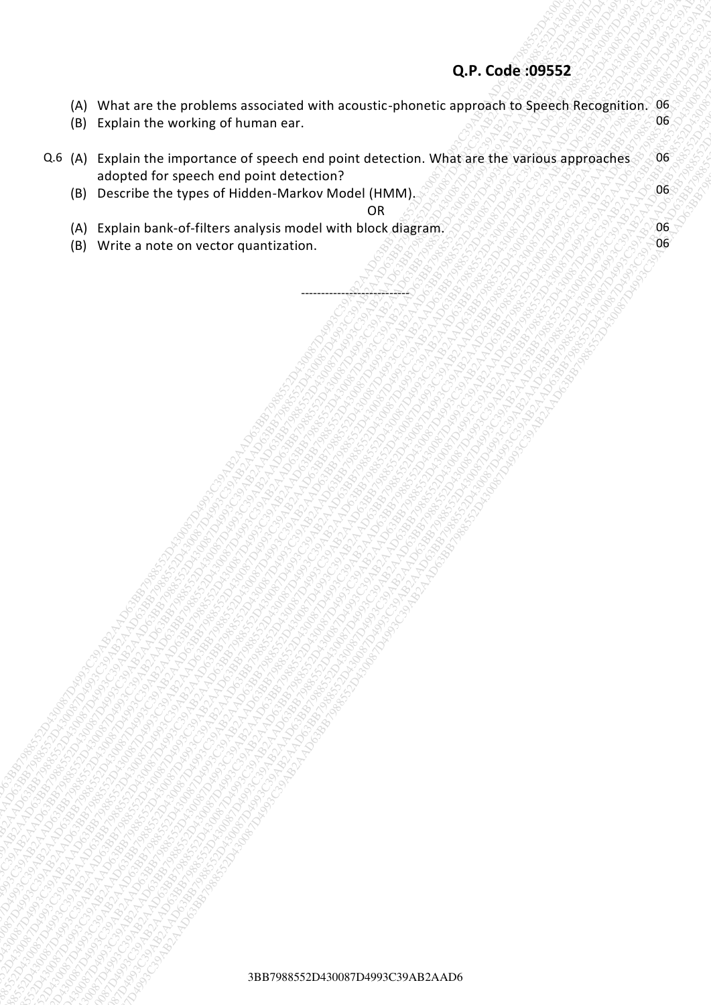|                |                                                                                                                                                                                                                                                                                                                                                                                                                                              | Q.P. Code:09552 |          |
|----------------|----------------------------------------------------------------------------------------------------------------------------------------------------------------------------------------------------------------------------------------------------------------------------------------------------------------------------------------------------------------------------------------------------------------------------------------------|-----------------|----------|
| (A)<br>(B)     | What are the problems associated with acoustic-phonetic approach to Speech Recognition. 06<br>Explain the working of human ear.                                                                                                                                                                                                                                                                                                              |                 | 06       |
| Q.6 (A)<br>(B) | Explain the importance of speech end point detection. What are the various approaches<br>adopted for speech end point detection?<br>Describe the types of Hidden-Markov Model (HMM).                                                                                                                                                                                                                                                         |                 | 06<br>06 |
| (A)<br>(B)     | <b>OR</b><br>Explain bank-of-filters analysis model with block diagram.<br>Write a note on vector quantization.                                                                                                                                                                                                                                                                                                                              |                 | 06<br>06 |
|                |                                                                                                                                                                                                                                                                                                                                                                                                                                              |                 |          |
|                |                                                                                                                                                                                                                                                                                                                                                                                                                                              |                 |          |
|                |                                                                                                                                                                                                                                                                                                                                                                                                                                              |                 |          |
|                |                                                                                                                                                                                                                                                                                                                                                                                                                                              |                 |          |
|                |                                                                                                                                                                                                                                                                                                                                                                                                                                              |                 |          |
|                |                                                                                                                                                                                                                                                                                                                                                                                                                                              |                 |          |
|                |                                                                                                                                                                                                                                                                                                                                                                                                                                              |                 |          |
|                |                                                                                                                                                                                                                                                                                                                                                                                                                                              |                 |          |
|                |                                                                                                                                                                                                                                                                                                                                                                                                                                              |                 |          |
|                |                                                                                                                                                                                                                                                                                                                                                                                                                                              |                 |          |
|                |                                                                                                                                                                                                                                                                                                                                                                                                                                              |                 |          |
|                |                                                                                                                                                                                                                                                                                                                                                                                                                                              |                 |          |
|                |                                                                                                                                                                                                                                                                                                                                                                                                                                              |                 |          |
|                | A Second Report Follows Control Property and Control Property and Control Property and Control Property and Control Property and Control Property and Control Property and Control Property and Control Property and Control P<br><b>BROWN COMMUNISTRATION AND COMMUNISTRATION COMMUNISTRATION COMMUNISTRATION COMMUNISTRATION COMMUNISTRATION COMM<br/>COMMUNISTRATION COMMUNISTRATION COMMUNISTRATION</b><br><b>RATTORIAN SERVER RATES</b> |                 |          |
|                | <b>PATA</b> S<br>22-ABOS<br><b>PARTIS</b>                                                                                                                                                                                                                                                                                                                                                                                                    |                 |          |
|                | 1200-<br>2002<br>$-85$                                                                                                                                                                                                                                                                                                                                                                                                                       |                 |          |
|                | 3BB7988552D430087D4993C39AB2AAD6                                                                                                                                                                                                                                                                                                                                                                                                             |                 |          |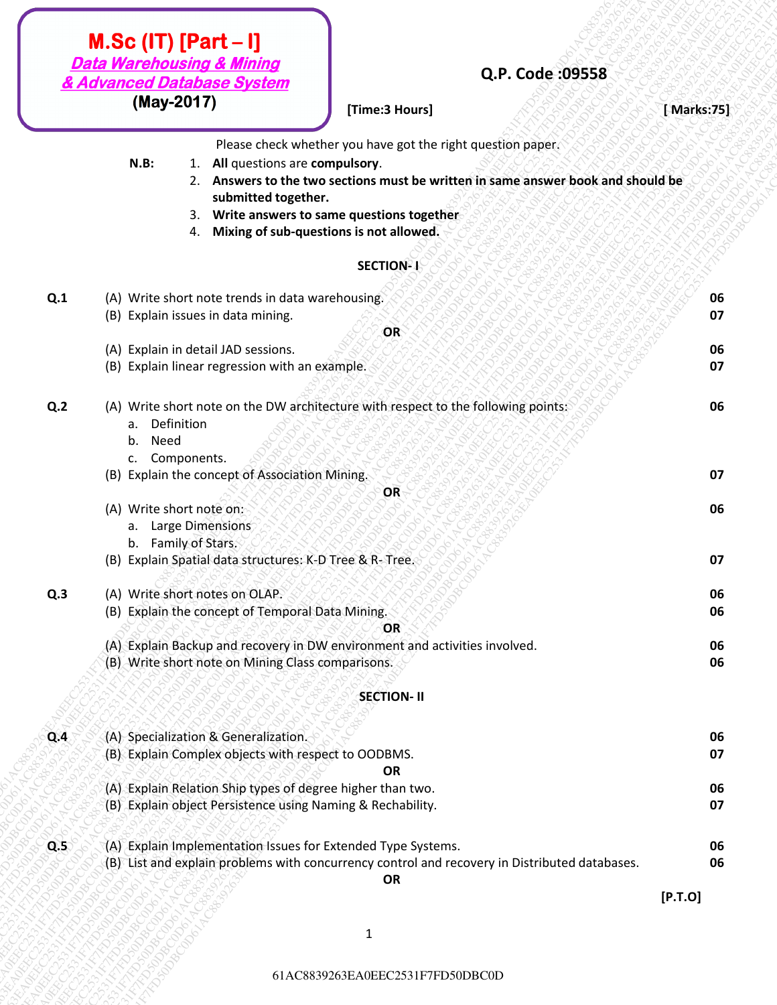# **(May-2017) [Time:3 Hours] Contained a set of the contact of the contact of the contact of the contact of the contact of the contact of the contact of the contact of the contact of the contact of the contact of the con**

## **Q.P. Code :09558**

- **N.B:** 1. **All** questions are **compulsory**.
	- 2. **Answers to the two sections must be written in same answer book and should be submitted together.**
		- 3. **Write answers to same questions together**
		- 4. **Mixing of sub-questions is not allowed.**

#### SECTION-1

|     | <b>Data Warehousing &amp; Mining</b><br>& Advanced Database System                                                              | Q.P. Code: 09558                                                                                                                                                                                                                       |            |
|-----|---------------------------------------------------------------------------------------------------------------------------------|----------------------------------------------------------------------------------------------------------------------------------------------------------------------------------------------------------------------------------------|------------|
|     | (May-2017)                                                                                                                      | [Time:3 Hours]                                                                                                                                                                                                                         | [Marks:75] |
|     | $N.B$ :<br>1. All questions are compulsory.<br>submitted together.<br>3.<br>4.                                                  | Please check whether you have got the right question paper.<br>2. Answers to the two sections must be written in same answer book and should be<br>Write answers to same questions together<br>Mixing of sub-questions is not allowed. |            |
|     |                                                                                                                                 | SECTION-1                                                                                                                                                                                                                              |            |
| Q.1 | (A) Write short note trends in data warehousing.<br>(B) Explain issues in data mining.                                          |                                                                                                                                                                                                                                        | 06<br>07   |
|     |                                                                                                                                 | <b>OR</b>                                                                                                                                                                                                                              |            |
|     | (A) Explain in detail JAD sessions.<br>(B) Explain linear regression with an example.                                           |                                                                                                                                                                                                                                        | 06<br>07   |
| Q.2 | a. Definition<br>b.<br>Need<br>c. Components.                                                                                   | (A) Write short note on the DW architecture with respect to the following points:                                                                                                                                                      | 06         |
|     | (B) Explain the concept of Association Mining.                                                                                  |                                                                                                                                                                                                                                        | 07         |
|     | (A) Write short note on:<br>a. Large Dimensions                                                                                 | OR                                                                                                                                                                                                                                     | 06         |
|     | b. Family of Stars.<br>(B) Explain Spatial data structures: K-D Tree & R- Tree.                                                 |                                                                                                                                                                                                                                        | 07         |
| Q.3 | (A) Write short notes on OLAP.<br>(B) Explain the concept of Temporal Data Mining.                                              |                                                                                                                                                                                                                                        | 06<br>06   |
|     | (A) Explain Backup and recovery in DW environment and activities involved.<br>(B) Write short note on Mining Class comparisons. | OR                                                                                                                                                                                                                                     | 06<br>06   |
|     |                                                                                                                                 | <b>SECTION-II</b>                                                                                                                                                                                                                      |            |
|     |                                                                                                                                 |                                                                                                                                                                                                                                        |            |
| Q.4 | (A) Specialization & Generalization.<br>(B) Explain Complex objects with respect to OODBMS.                                     | OR                                                                                                                                                                                                                                     | 06<br>07   |
|     | (A) Explain Relation Ship types of degree higher than two.<br>(B) Explain object Persistence using Naming & Rechability.        |                                                                                                                                                                                                                                        | 06<br>07   |
| Q.5 | (A) Explain Implementation Issues for Extended Type Systems.                                                                    | (B) List and explain problems with concurrency control and recovery in Distributed databases.                                                                                                                                          | 06<br>06   |
|     |                                                                                                                                 | <b>OR</b>                                                                                                                                                                                                                              | [P.T.O]    |
|     |                                                                                                                                 |                                                                                                                                                                                                                                        |            |